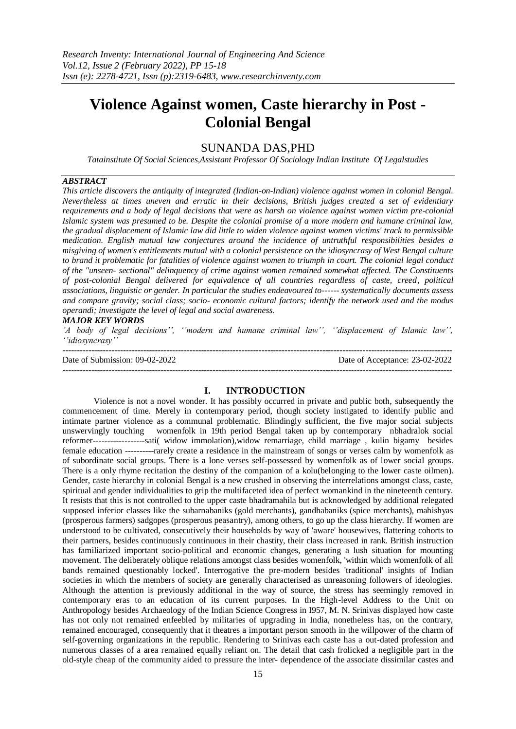# **Violence Against women, Caste hierarchy in Post - Colonial Bengal**

## SUNANDA DAS,PHD

*Tatainstitute Of Social Sciences,Assistant Professor Of Sociology Indian Institute Of Legalstudies*

#### *ABSTRACT*

*This article discovers the antiquity of integrated (Indian-on-Indian) violence against women in colonial Bengal. Nevertheless at times uneven and erratic in their decisions, British judges created a set of evidentiary requirements and a body of legal decisions that were as harsh on violence against women victim pre-colonial Islamic system was presumed to be. Despite the colonial promise of a more modern and humane criminal law, the gradual displacement of Islamic law did little to widen violence against women victims' track to permissible medication. English mutual law conjectures around the incidence of untruthful responsibilities besides a misgiving of women's entitlements mutual with a colonial persistence on the idiosyncrasy of West Bengal culture to brand it problematic for fatalities of violence against women to triumph in court. The colonial legal conduct of the "unseen- sectional" delinquency of crime against women remained somewhat affected. The Constituents of post-colonial Bengal delivered for equivalence of all countries regardless of caste, creed, political associations, linguistic or gender. In particular the studies endeavoured to------ systematically documents assess and compare gravity; social class; socio- economic cultural factors; identify the network used and the modus operandi; investigate the level of legal and social awareness.*

#### *MAJOR KEY WORDS*

*'A body of legal decisions'', ''modern and humane criminal law'', ''displacement of Islamic law'', ''idiosyncrasy''*

| Date of Submission: 09-02-2022 | Date of Acceptance: 23-02-2022 |
|--------------------------------|--------------------------------|
|                                |                                |

#### **I. INTRODUCTION**

Violence is not a novel wonder. It has possibly occurred in private and public both, subsequently the commencement of time. Merely in contemporary period, though society instigated to identify public and intimate partner violence as a communal problematic. Blindingly sufficient, the five major social subjects unswervingly touching womenfolk in 19th period Bengal taken up by contemporary nbhadralok social reformer------------------sati( widow immolation),widow remarriage, child marriage , kulin bigamy besides female education ----------rarely create a residence in the mainstream of songs or verses calm by womenfolk as of subordinate social groups. There is a lone verses self-possessed by womenfolk as of lower social groups. There is a only rhyme recitation the destiny of the companion of a kolu(belonging to the lower caste oilmen). Gender, caste hierarchy in colonial Bengal is a new crushed in observing the interrelations amongst class, caste, spiritual and gender individualities to grip the multifaceted idea of perfect womankind in the nineteenth century. It resists that this is not controlled to the upper caste bhadramahila but is acknowledged by additional relegated supposed inferior classes like the subarnabaniks (gold merchants), gandhabaniks (spice merchants), mahishyas (prosperous farmers) sadgopes (prosperous peasantry), among others, to go up the class hierarchy. If women are understood to be cultivated, consecutively their households by way of 'aware' housewives, flattering cohorts to their partners, besides continuously continuous in their chastity, their class increased in rank. British instruction has familiarized important socio-political and economic changes, generating a lush situation for mounting movement. The deliberately oblique relations amongst class besides womenfolk, 'within which womenfolk of all bands remained questionably locked'. Interrogative the pre-modern besides 'traditional' insights of Indian societies in which the members of society are generally characterised as unreasoning followers of ideologies. Although the attention is previously additional in the way of source, the stress has seemingly removed in contemporary eras to an education of its current purposes. In the High-level Address to the Unit on Anthropology besides Archaeology of the Indian Science Congress in I957, M. N. Srinivas displayed how caste has not only not remained enfeebled by militaries of upgrading in India, nonetheless has, on the contrary, remained encouraged, consequently that it theatres a important person smooth in the willpower of the charm of self-governing organizations in the republic. Rendering to Srinivas each caste has a out-dated profession and numerous classes of a area remained equally reliant on. The detail that cash frolicked a negligible part in the old-style cheap of the community aided to pressure the inter- dependence of the associate dissimilar castes and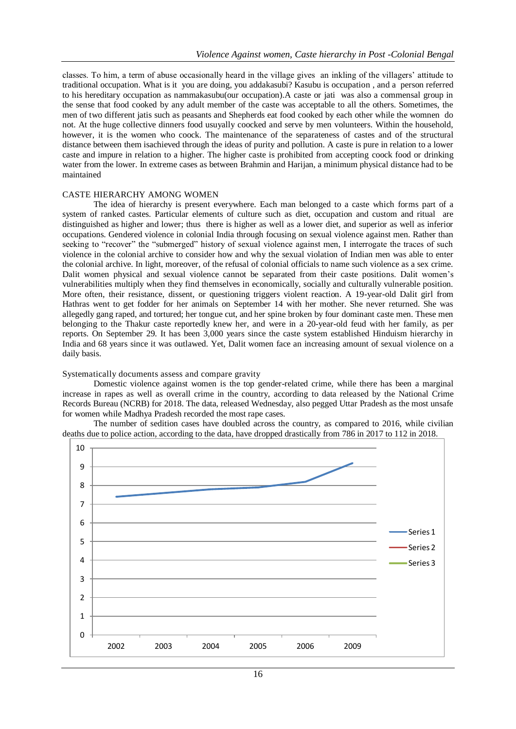classes. To him, a term of abuse occasionally heard in the village gives an inkling of the villagers' attitude to traditional occupation. What is it you are doing, you addakasubi? Kasubu is occupation , and a person referred to his hereditary occupation as nammakasubu(our occupation).A caste or jati was also a commensal group in the sense that food cooked by any adult member of the caste was acceptable to all the others. Sometimes, the men of two different jatis such as peasants and Shepherds eat food cooked by each other while the womnen do not. At the huge collective dinners food usuyally coocked and serve by men volunteers. Within the household, however, it is the women who coock. The maintenance of the separateness of castes and of the structural distance between them isachieved through the ideas of purity and pollution. A caste is pure in relation to a lower caste and impure in relation to a higher. The higher caste is prohibited from accepting coock food or drinking water from the lower. In extreme cases as between Brahmin and Harijan, a minimum physical distance had to be maintained

#### CASTE HIERARCHY AMONG WOMEN

The idea of hierarchy is present everywhere. Each man belonged to a caste which forms part of a system of ranked castes. Particular elements of culture such as diet, occupation and custom and ritual are distinguished as higher and lower; thus there is higher as well as a lower diet, and superior as well as inferior occupations. Gendered violence in colonial India through focusing on sexual violence against men. Rather than seeking to "recover" the "submerged" history of sexual violence against men, I interrogate the traces of such violence in the colonial archive to consider how and why the sexual violation of Indian men was able to enter the colonial archive. In light, moreover, of the refusal of colonial officials to name such violence as a sex crime. Dalit women physical and sexual violence cannot be separated from their caste positions. Dalit women's vulnerabilities multiply when they find themselves in economically, socially and culturally vulnerable position. More often, their resistance, dissent, or questioning triggers violent reaction. A 19-year-old Dalit girl from Hathras went to get fodder for her animals on September 14 with her mother. She never returned. She was allegedly gang raped, and tortured; her tongue cut, and her spine broken by four dominant caste men. These men belonging to the Thakur caste reportedly knew her, and were in a 20-year-old feud with her family, as per reports. On September 29. It has been 3,000 years since the caste system established Hinduism hierarchy in India and 68 years since it was outlawed. Yet, Dalit women face an increasing amount of sexual violence on a daily basis.

#### Systematically documents assess and compare gravity

Domestic violence against women is the top gender-related crime, while there has been a marginal increase in rapes as well as overall crime in the country, according to data released by the National Crime Records Bureau (NCRB) for 2018. The data, released Wednesday, also pegged Uttar Pradesh as the most unsafe for women while Madhya Pradesh recorded the most rape cases.

The number of sedition cases have doubled across the country, as compared to 2016, while civilian deaths due to police action, according to the data, have dropped drastically from 786 in 2017 to 112 in 2018.

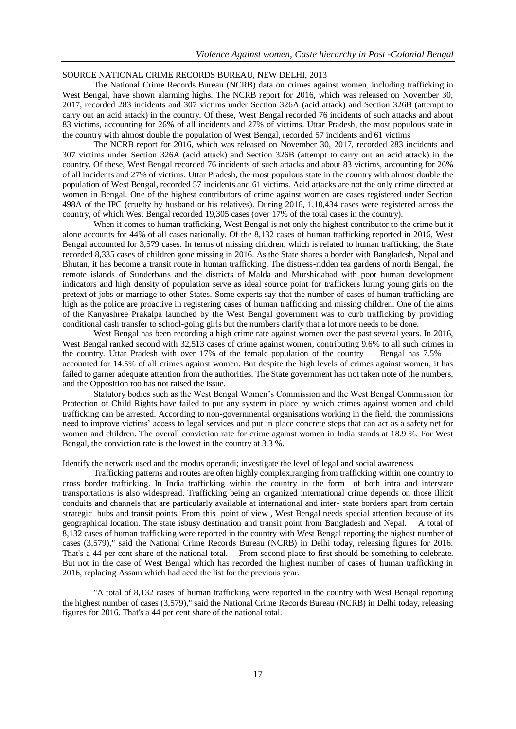### SOURCE NATIONAL CRIME RECORDS BUREAU, NEW DELHI, 2013

The National Crime Records Bureau (NCRB) data on crimes against women, including trafficking in West Bengal, have shown alarming highs. The NCRB report for 2016, which was released on November 30, 2017, recorded 283 incidents and 307 victims under Section 326A (acid attack) and Section 326B (attempt to carry out an acid attack) in the country. Of these, West Bengal recorded 76 incidents of such attacks and about 83 victims, accounting for 26% of all incidents and 27% of victims. Uttar Pradesh, the most populous state in the country with almost double the population of West Bengal, recorded 57 incidents and 61 victims

The NCRB report for 2016, which was released on November 30, 2017, recorded 283 incidents and 307 victims under Section 326A (acid attack) and Section 326B (attempt to carry out an acid attack) in the country. Of these, West Bengal recorded 76 incidents of such attacks and about 83 victims, accounting for 26% of all incidents and 27% of victims. Uttar Pradesh, the most populous state in the country with almost double the population of West Bengal, recorded 57 incidents and 61 victims. Acid attacks are not the only crime directed at women in Bengal. One of the highest contributors of crime against women are cases registered under Section 498A of the IPC (cruelty by husband or his relatives). During 2016, 1,10,434 cases were registered across the country, of which West Bengal recorded 19,305 cases (over 17% of the total cases in the country).

When it comes to human trafficking, West Bengal is not only the highest contributor to the crime but it alone accounts for 44% of all cases nationally. Of the 8,132 cases of human trafficking reported in 2016, West Bengal accounted for 3,579 cases. In terms of missing children, which is related to human trafficking, the State recorded 8,335 cases of children gone missing in 2016. As the State shares a border with Bangladesh, Nepal and Bhutan, it has become a transit route in human trafficking. The distress-ridden tea gardens of north Bengal, the remote islands of Sunderbans and the districts of Malda and Murshidabad with poor human development indicators and high density of population serve as ideal source point for traffickers luring young girls on the pretext of jobs or marriage to other States. Some experts say that the number of cases of human trafficking are high as the police are proactive in registering cases of human trafficking and missing children. One of the aims of the Kanyashree Prakalpa launched by the West Bengal government was to curb trafficking by providing conditional cash transfer to school-going girls but the numbers clarify that a lot more needs to be done.

West Bengal has been recording a high crime rate against women over the past several years. In 2016, West Bengal ranked second with 32,513 cases of crime against women, contributing 9.6% to all such crimes in the country. Uttar Pradesh with over 17% of the female population of the country — Bengal has  $7.5\%$  accounted for 14.5% of all crimes against women. But despite the high levels of crimes against women, it has failed to garner adequate attention from the authorities. The State government has not taken note of the numbers, and the Opposition too has not raised the issue.

Statutory bodies such as the West Bengal Women's Commission and the West Bengal Commission for Protection of Child Rights have failed to put any system in place by which crimes against women and child trafficking can be arrested. According to non-governmental organisations working in the field, the commissions need to improve victims' access to legal services and put in place concrete steps that can act as a safety net for women and children. The overall conviction rate for crime against women in India stands at 18.9 %. For West Bengal, the conviction rate is the lowest in the country at 3.3 %.

Identify the network used and the modus operandi; investigate the level of legal and social awareness

Trafficking patterns and routes are often highly complex,ranging from trafficking within one country to cross border trafficking. In India trafficking within the country in the form of both intra and interstate transportations is also widespread. Trafficking being an organized international crime depends on those illicit conduits and channels that are particularly available at international and inter- state borders apart from certain strategic hubs and transit points. From this point of view , West Bengal needs special attention because of its geographical location. The state isbusy destination and transit point from Bangladesh and Nepal. A total of 8,132 cases of human trafficking were reported in the country with West Bengal reporting the highest number of cases (3,579)," said the National Crime Records Bureau (NCRB) in Delhi today, releasing figures for 2016. That's a 44 per cent share of the national total. From second place to first should be something to celebrate. But not in the case of West Bengal which has recorded the highest number of cases of human trafficking in 2016, replacing Assam which had aced the list for the previous year.

"A total of 8,132 cases of human trafficking were reported in the country with West Bengal reporting the highest number of cases (3,579)," said the National Crime Records Bureau (NCRB) in Delhi today, releasing figures for 2016. That's a 44 per cent share of the national total.